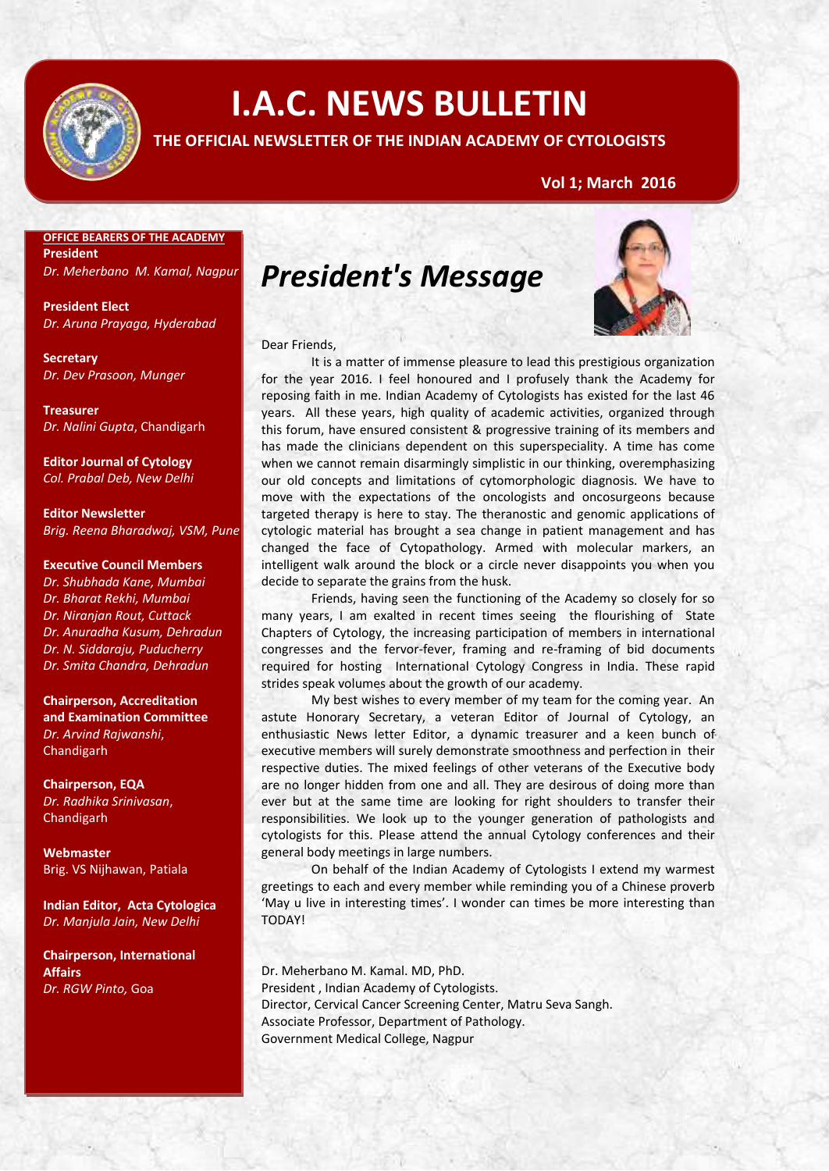

# **I.A.C. NEWS BULLETIN**

### **THE OFFICIAL NEWSLETTER OF THE INDIAN ACADEMY OF CYTOLOGISTS**

### **Vol 1; March 2016**

### **OFFICE BEARERS OF THE ACADEMY President**

*Dr. Meherbano M. Kamal, Nagpur* 

**President Elect** *Dr. Aruna Prayaga, Hyderabad*

**Secretary** *Dr. Dev Prasoon, Munger*

**Treasurer** *Dr. Nalini Gupta*, Chandigarh

**Editor Journal of Cytology** *Col. Prabal Deb, New Delhi*

**Editor Newsletter** *Brig. Reena Bharadwaj, VSM, Pune*

#### **Executive Council Members**

*Dr. Shubhada Kane, Mumbai Dr. Bharat Rekhi, Mumbai Dr. Niranjan Rout, Cuttack Dr. Anuradha Kusum, Dehradun Dr. N. Siddaraju, Puducherry Dr. Smita Chandra, Dehradun*

**Chairperson, Accreditation and Examination Committee** *Dr. Arvind Rajwanshi*, Chandigarh

**Chairperson, EQA** *Dr. Radhika Srinivasan*, Chandigarh

**Webmaster** Brig. VS Nijhawan, Patiala

**Indian Editor, Acta Cytologica** *Dr. Manjula Jain, New Delhi*

**Chairperson, International Affairs** *Dr. RGW Pinto,* Goa

## *President's Message*



#### Dear Friends,

It is a matter of immense pleasure to lead this prestigious organization for the year 2016. I feel honoured and I profusely thank the Academy for reposing faith in me. Indian Academy of Cytologists has existed for the last 46 years. All these years, high quality of academic activities, organized through this forum, have ensured consistent & progressive training of its members and has made the clinicians dependent on this superspeciality. A time has come when we cannot remain disarmingly simplistic in our thinking, overemphasizing our old concepts and limitations of cytomorphologic diagnosis. We have to move with the expectations of the oncologists and oncosurgeons because targeted therapy is here to stay. The theranostic and genomic applications of cytologic material has brought a sea change in patient management and has changed the face of Cytopathology. Armed with molecular markers, an intelligent walk around the block or a circle never disappoints you when you decide to separate the grains from the husk.

Friends, having seen the functioning of the Academy so closely for so many years, I am exalted in recent times seeing the flourishing of State Chapters of Cytology, the increasing participation of members in international congresses and the fervor-fever, framing and re-framing of bid documents required for hosting International Cytology Congress in India. These rapid strides speak volumes about the growth of our academy.

My best wishes to every member of my team for the coming year. An astute Honorary Secretary, a veteran Editor of Journal of Cytology, an enthusiastic News letter Editor, a dynamic treasurer and a keen bunch of executive members will surely demonstrate smoothness and perfection in their respective duties. The mixed feelings of other veterans of the Executive body are no longer hidden from one and all. They are desirous of doing more than ever but at the same time are looking for right shoulders to transfer their responsibilities. We look up to the younger generation of pathologists and cytologists for this. Please attend the annual Cytology conferences and their general body meetings in large numbers.

On behalf of the Indian Academy of Cytologists I extend my warmest greetings to each and every member while reminding you of a Chinese proverb 'May u live in interesting times'. I wonder can times be more interesting than TODAY!

Dr. Meherbano M. Kamal. MD, PhD. President , Indian Academy of Cytologists. Director, Cervical Cancer Screening Center, Matru Seva Sangh. Associate Professor, Department of Pathology. Government Medical College, Nagpur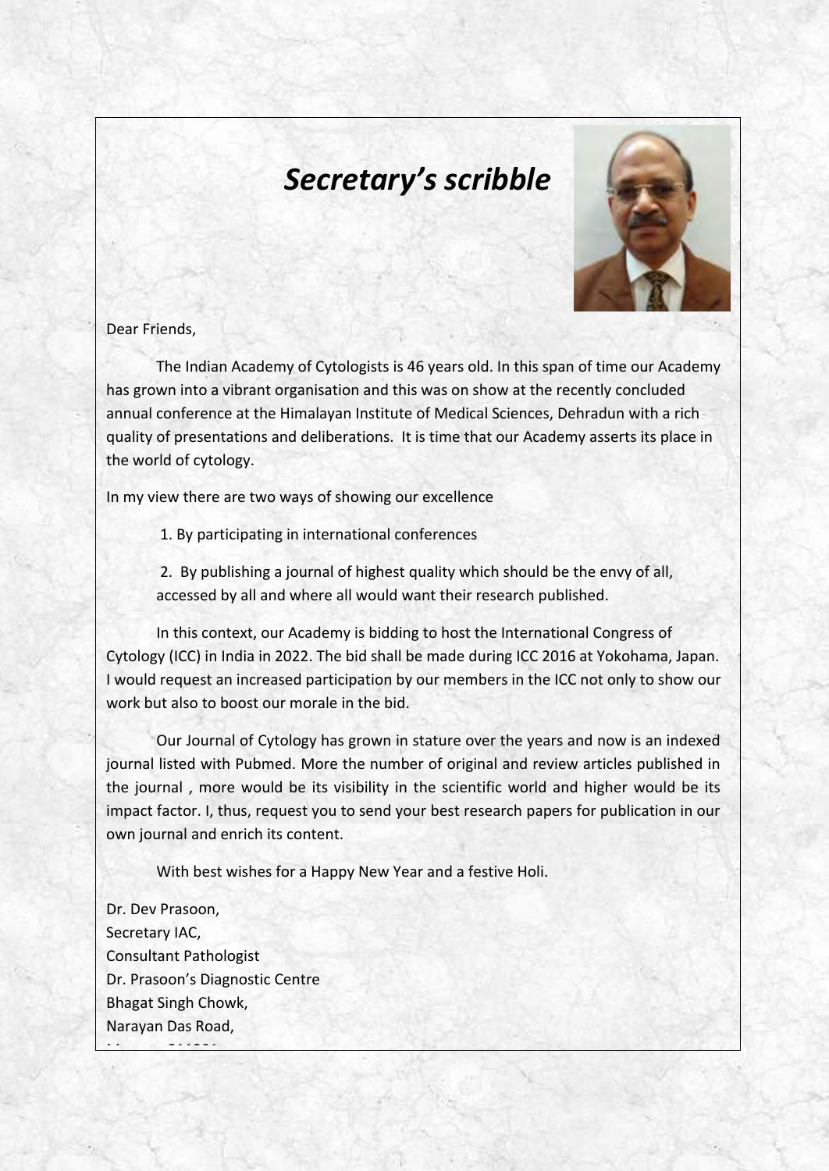## *Secretary's scribble*



### Dear Friends,

The Indian Academy of Cytologists is 46 years old. In this span of time our Academy has grown into a vibrant organisation and this was on show at the recently concluded annual conference at the Himalayan Institute of Medical Sciences, Dehradun with a rich quality of presentations and deliberations. It is time that our Academy asserts its place in the world of cytology.

In my view there are two ways of showing our excellence

1. By participating in international conferences

2. By publishing a journal of highest quality which should be the envy of all, accessed by all and where all would want their research published.

In this context, our Academy is bidding to host the International Congress of Cytology (ICC) in India in 2022. The bid shall be made during ICC 2016 at Yokohama, Japan. I would request an increased participation by our members in the ICC not only to show our work but also to boost our morale in the bid.

Our Journal of Cytology has grown in stature over the years and now is an indexed journal listed with Pubmed. More the number of original and review articles published in the journal , more would be its visibility in the scientific world and higher would be its impact factor. I, thus, request you to send your best research papers for publication in our own journal and enrich its content.

With best wishes for a Happy New Year and a festive Holi.

Dr. Dev Prasoon, Secretary IAC, Consultant Pathologist Dr. Prasoon's Diagnostic Centre Bhagat Singh Chowk, Narayan Das Road,

email : [dev\\_prasoon@hotmail.com](mailto:dev_prasoon@hotmail.com)

munger 81201 in der Stationen<br>Munger 811201 in der Stationen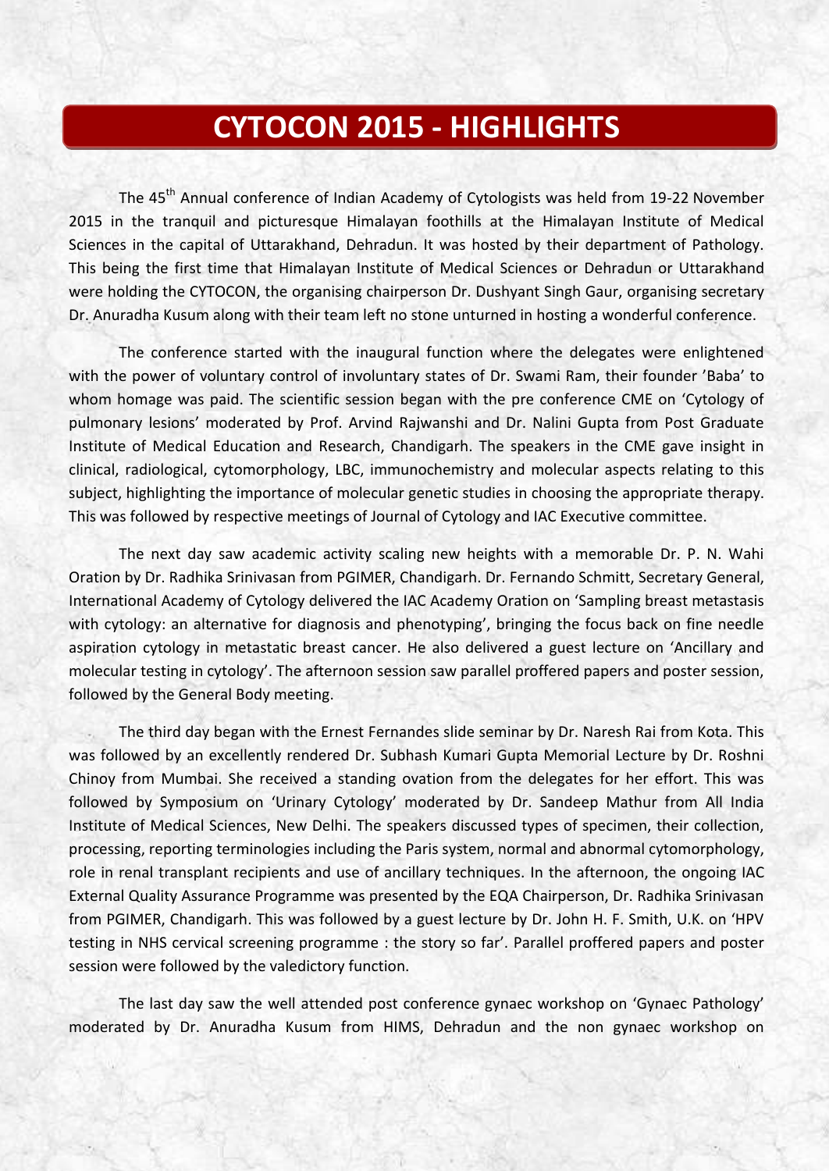## **CYTOCON 2015 - HIGHLIGHTS**

The 45<sup>th</sup> Annual conference of Indian Academy of Cytologists was held from 19-22 November 2015 in the tranquil and picturesque Himalayan foothills at the Himalayan Institute of Medical Sciences in the capital of Uttarakhand, Dehradun. It was hosted by their department of Pathology. This being the first time that Himalayan Institute of Medical Sciences or Dehradun or Uttarakhand were holding the CYTOCON, the organising chairperson Dr. Dushyant Singh Gaur, organising secretary Dr. Anuradha Kusum along with their team left no stone unturned in hosting a wonderful conference.

The conference started with the inaugural function where the delegates were enlightened with the power of voluntary control of involuntary states of Dr. Swami Ram, their founder 'Baba' to whom homage was paid. The scientific session began with the pre conference CME on 'Cytology of pulmonary lesions' moderated by Prof. Arvind Rajwanshi and Dr. Nalini Gupta from Post Graduate Institute of Medical Education and Research, Chandigarh. The speakers in the CME gave insight in clinical, radiological, cytomorphology, LBC, immunochemistry and molecular aspects relating to this subject, highlighting the importance of molecular genetic studies in choosing the appropriate therapy. This was followed by respective meetings of Journal of Cytology and IAC Executive committee.

The next day saw academic activity scaling new heights with a memorable Dr. P. N. Wahi Oration by Dr. Radhika Srinivasan from PGIMER, Chandigarh. Dr. Fernando Schmitt, Secretary General, International Academy of Cytology delivered the IAC Academy Oration on 'Sampling breast metastasis with cytology: an alternative for diagnosis and phenotyping', bringing the focus back on fine needle aspiration cytology in metastatic breast cancer. He also delivered a guest lecture on 'Ancillary and molecular testing in cytology'. The afternoon session saw parallel proffered papers and poster session, followed by the General Body meeting.

The third day began with the Ernest Fernandes slide seminar by Dr. Naresh Rai from Kota. This was followed by an excellently rendered Dr. Subhash Kumari Gupta Memorial Lecture by Dr. Roshni Chinoy from Mumbai. She received a standing ovation from the delegates for her effort. This was followed by Symposium on 'Urinary Cytology' moderated by Dr. Sandeep Mathur from All India Institute of Medical Sciences, New Delhi. The speakers discussed types of specimen, their collection, processing, reporting terminologies including the Paris system, normal and abnormal cytomorphology, role in renal transplant recipients and use of ancillary techniques. In the afternoon, the ongoing IAC External Quality Assurance Programme was presented by the EQA Chairperson, Dr. Radhika Srinivasan from PGIMER, Chandigarh. This was followed by a guest lecture by Dr. John H. F. Smith, U.K. on 'HPV testing in NHS cervical screening programme : the story so far'. Parallel proffered papers and poster session were followed by the valedictory function.

The last day saw the well attended post conference gynaec workshop on 'Gynaec Pathology' moderated by Dr. Anuradha Kusum from HIMS, Dehradun and the non gynaec workshop on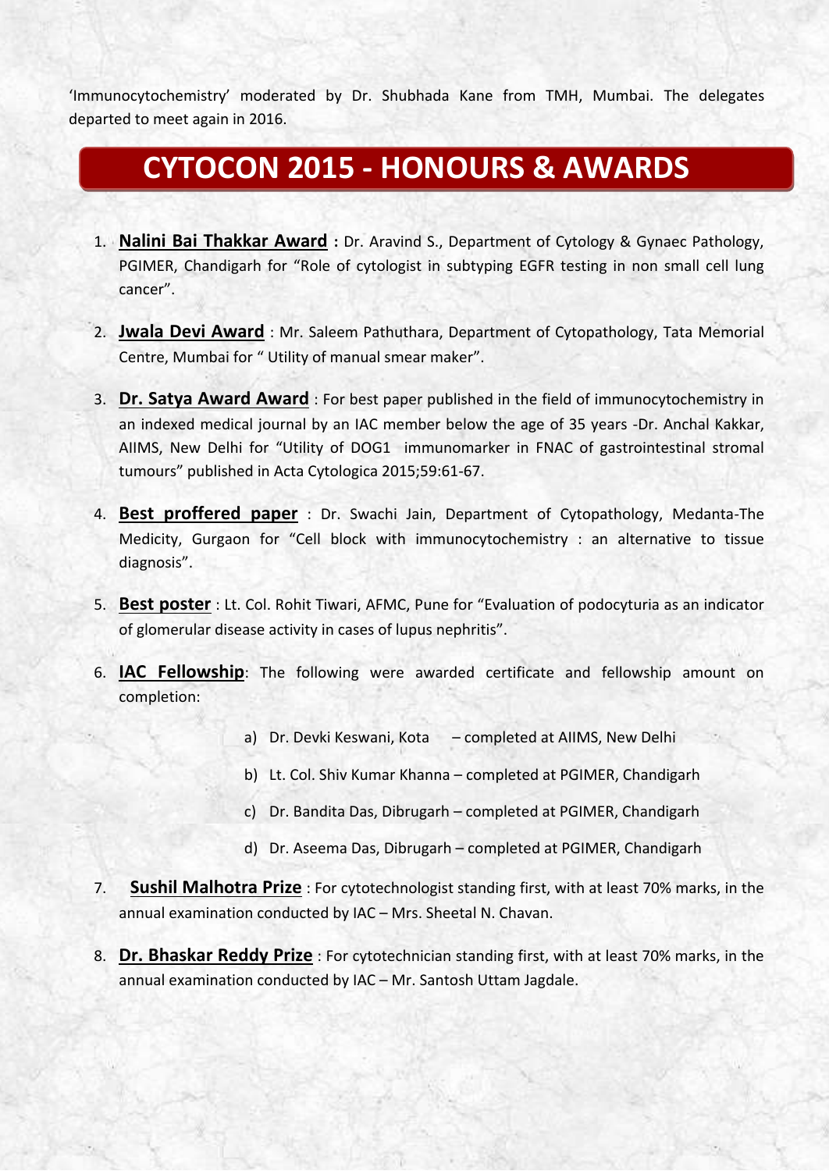'Immunocytochemistry' moderated by Dr. Shubhada Kane from TMH, Mumbai. The delegates departed to meet again in 2016.

## **CYTOCON 2015 - HONOURS & AWARDS**

- 1. **Nalini Bai Thakkar Award :** Dr. Aravind S., Department of Cytology & Gynaec Pathology, PGIMER, Chandigarh for "Role of cytologist in subtyping EGFR testing in non small cell lung cancer".
- 2. **Jwala Devi Award** : Mr. Saleem Pathuthara, Department of Cytopathology, Tata Memorial Centre, Mumbai for " Utility of manual smear maker".
- 3. **Dr. Satya Award Award** : For best paper published in the field of immunocytochemistry in an indexed medical journal by an IAC member below the age of 35 years -Dr. Anchal Kakkar, AIIMS, New Delhi for "Utility of DOG1 immunomarker in FNAC of gastrointestinal stromal tumours" published in Acta Cytologica 2015;59:61-67.
- 4. **Best proffered paper** : Dr. Swachi Jain, Department of Cytopathology, Medanta-The Medicity, Gurgaon for "Cell block with immunocytochemistry : an alternative to tissue diagnosis".
- 5. **Best poster** : Lt. Col. Rohit Tiwari, AFMC, Pune for "Evaluation of podocyturia as an indicator of glomerular disease activity in cases of lupus nephritis".
- 6. **IAC Fellowship**: The following were awarded certificate and fellowship amount on completion:
	- a) Dr. Devki Keswani, Kota completed at AIIMS, New Delhi
	- b) Lt. Col. Shiv Kumar Khanna completed at PGIMER, Chandigarh
	- c) Dr. Bandita Das, Dibrugarh completed at PGIMER, Chandigarh
	- d) Dr. Aseema Das, Dibrugarh completed at PGIMER, Chandigarh
- 7. **Sushil Malhotra Prize** : For cytotechnologist standing first, with at least 70% marks, in the annual examination conducted by IAC – Mrs. Sheetal N. Chavan.
- 8. **Dr. Bhaskar Reddy Prize** : For cytotechnician standing first, with at least 70% marks, in the annual examination conducted by IAC – Mr. Santosh Uttam Jagdale.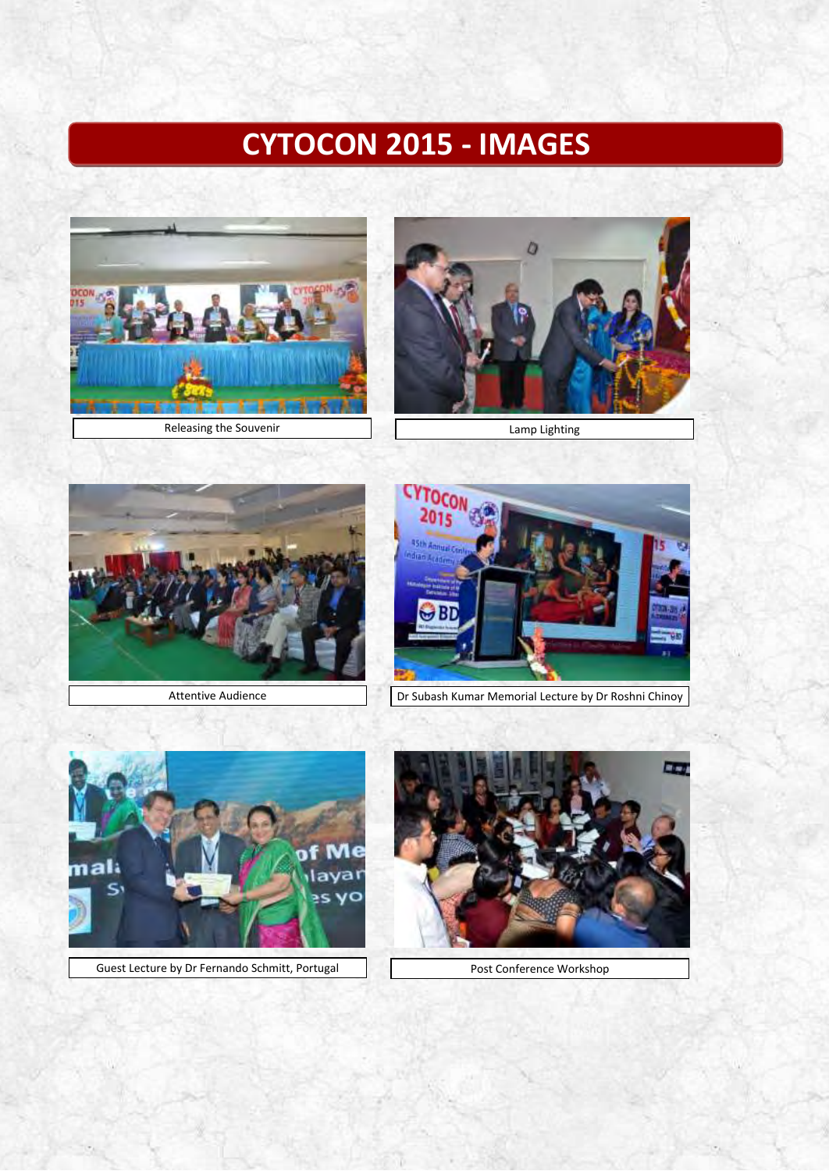# **CYTOCON 2015 - IMAGES**









Attentive Audience **Dr Subash Kumar Memorial Lecture by Dr Roshni Chinoy** 



Guest Lecture by Dr Fernando Schmitt, Portugal Post Conference Workshop

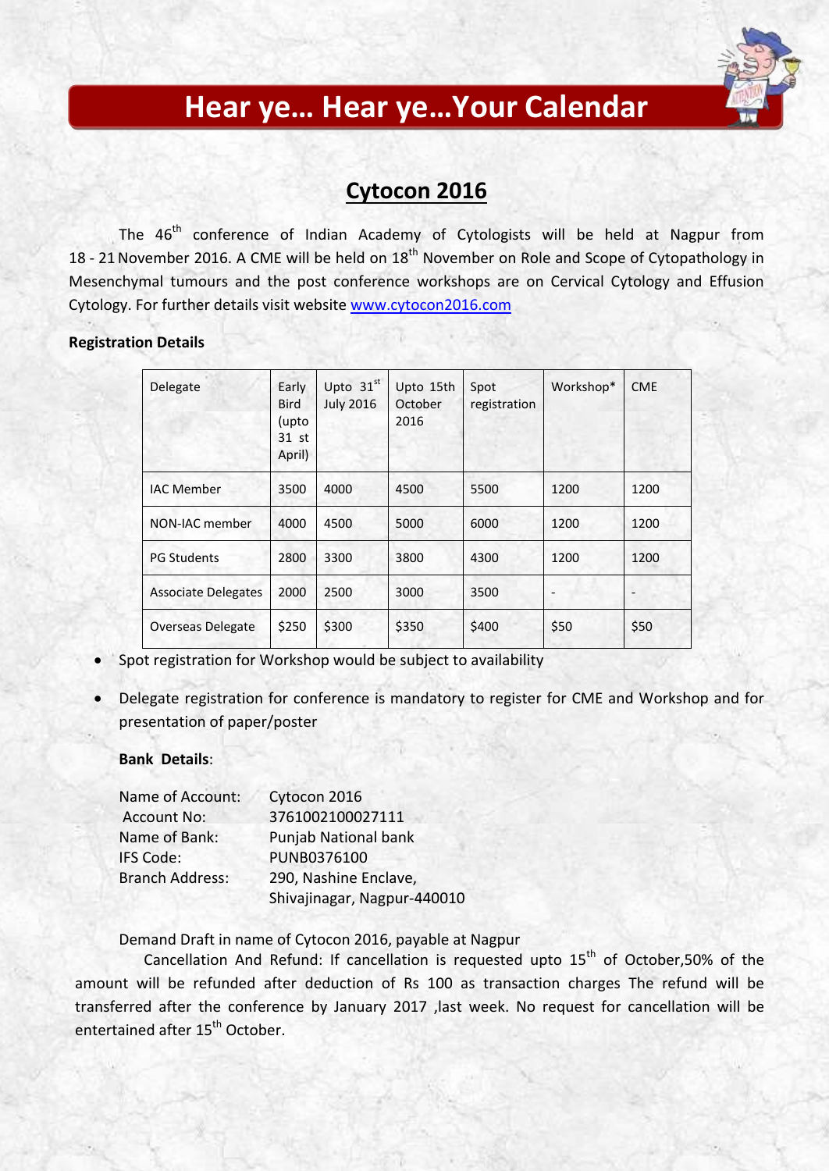

## **Hear ye… Hear ye…Your Calendar**

### **Cytocon 2016**

The 46<sup>th</sup> conference of Indian Academy of Cytologists will be held at Nagpur from 18 - 21 November 2016. A CME will be held on 18<sup>th</sup> November on Role and Scope of Cytopathology in Mesenchymal tumours and the post conference workshops are on Cervical Cytology and Effusion Cytology. For further details visit website [www.cytocon2016.com](http://www.cytocon2016.com/)

### **Registration Details**

| Delegate                   | Early<br><b>Bird</b><br>(upto<br>31 st<br>April) | Upto $31st$<br><b>July 2016</b> | Upto 15th<br>October<br>2016 | Spot<br>registration | Workshop* | <b>CME</b> |
|----------------------------|--------------------------------------------------|---------------------------------|------------------------------|----------------------|-----------|------------|
| <b>IAC Member</b>          | 3500                                             | 4000                            | 4500                         | 5500                 | 1200      | 1200       |
| NON-IAC member             | 4000                                             | 4500                            | 5000                         | 6000                 | 1200      | 1200       |
| <b>PG Students</b>         | 2800                                             | 3300                            | 3800                         | 4300                 | 1200      | 1200       |
| <b>Associate Delegates</b> | 2000                                             | 2500                            | 3000                         | 3500                 |           |            |
| <b>Overseas Delegate</b>   | \$250                                            | \$300                           | \$350                        | \$400                | \$50      | \$50       |

- Spot registration for Workshop would be subject to availability
- Delegate registration for conference is mandatory to register for CME and Workshop and for presentation of paper/poster

### **Bank Details**:

| Name of Account:       | Cytocon 2016                |
|------------------------|-----------------------------|
| <b>Account No:</b>     | 3761002100027111            |
| Name of Bank:          | <b>Punjab National bank</b> |
| IFS Code:              | PUNB0376100                 |
| <b>Branch Address:</b> | 290, Nashine Enclave,       |
|                        | Shivajinagar, Nagpur-440010 |

Demand Draft in name of Cytocon 2016, payable at Nagpur

Cancellation And Refund: If cancellation is requested upto  $15<sup>th</sup>$  of October,50% of the amount will be refunded after deduction of Rs 100 as transaction charges The refund will be transferred after the conference by January 2017 ,last week. No request for cancellation will be entertained after 15<sup>th</sup> October.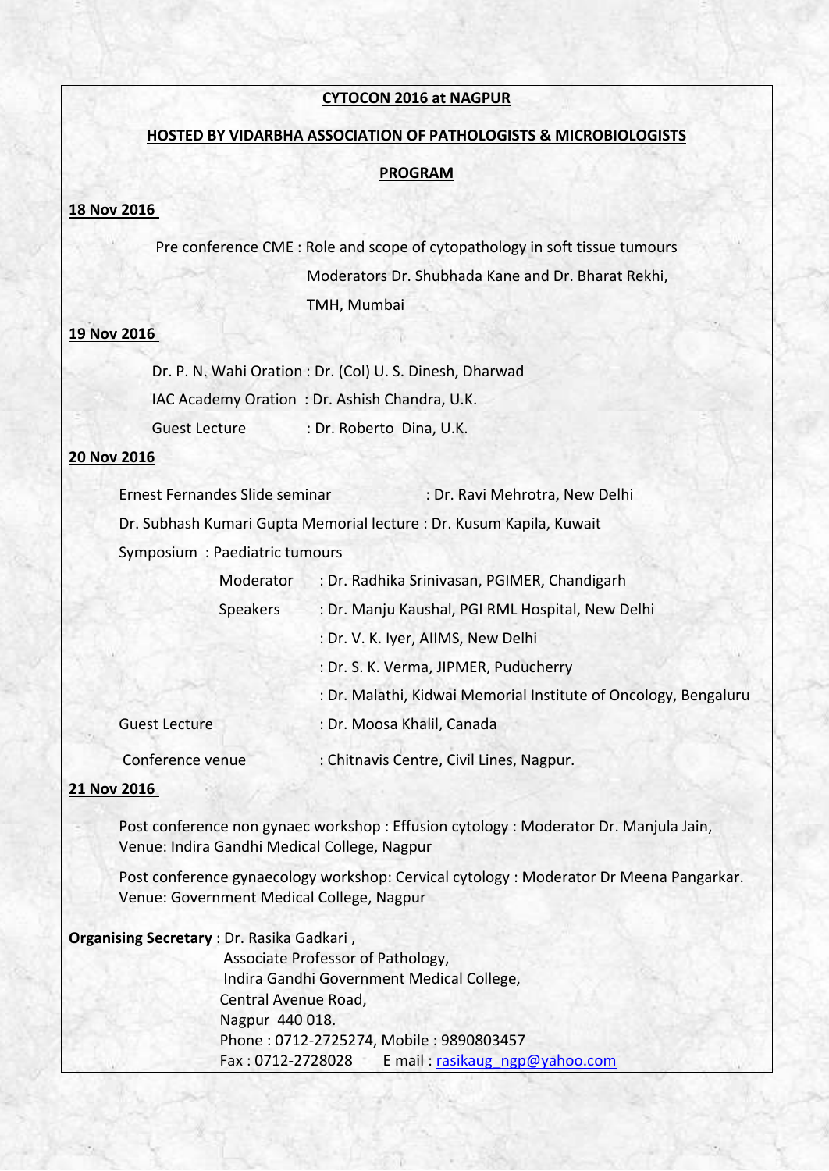### **CYTOCON 2016 at NAGPUR**

### **HOSTED BY VIDARBHA ASSOCIATION OF PATHOLOGISTS & MICROBIOLOGISTS**

#### **PROGRAM**

### **18 Nov 2016**

 Pre conference CME : Role and scope of cytopathology in soft tissue tumours Moderators Dr. Shubhada Kane and Dr. Bharat Rekhi, TMH, Mumbai

### **19 Nov 2016**

 Dr. P. N. Wahi Oration : Dr. (Col) U. S. Dinesh, Dharwad IAC Academy Oration : Dr. Ashish Chandra, U.K. Guest Lecture : Dr. Roberto Dina, U.K.

### **20 Nov 2016**

Ernest Fernandes Slide seminar : Dr. Ravi Mehrotra, New Delhi Dr. Subhash Kumari Gupta Memorial lecture : Dr. Kusum Kapila, Kuwait Symposium : Paediatric tumours Moderator : Dr. Radhika Srinivasan, PGIMER, Chandigarh

|                      | iviuuti atui    | . Dr. Naurika Shinvasari, Polivick, Chanuigarii                 |
|----------------------|-----------------|-----------------------------------------------------------------|
|                      | <b>Speakers</b> | : Dr. Manju Kaushal, PGI RML Hospital, New Delhi                |
|                      |                 | : Dr. V. K. Iyer, AllMS, New Delhi                              |
|                      |                 | : Dr. S. K. Verma, JIPMER, Puducherry                           |
|                      |                 | : Dr. Malathi, Kidwai Memorial Institute of Oncology, Bengaluru |
| <b>Guest Lecture</b> |                 | : Dr. Moosa Khalil, Canada                                      |
| Conference venue     |                 | : Chitnavis Centre, Civil Lines, Nagpur.                        |

#### **21 Nov 2016**

Post conference non gynaec workshop : Effusion cytology : Moderator Dr. Manjula Jain, Venue: Indira Gandhi Medical College, Nagpur

 Post conference gynaecology workshop: Cervical cytology : Moderator Dr Meena Pangarkar. Venue: Government Medical College, Nagpur

| <b>Organising Secretary</b> : Dr. Rasika Gadkari, |  |  |  |
|---------------------------------------------------|--|--|--|
|---------------------------------------------------|--|--|--|

 Associate Professor of Pathology, Indira Gandhi Government Medical College, Central Avenue Road, Nagpur 440 018. Phone : 0712-2725274, Mobile : 9890803457 Fax : 0712-2728028 E mail : rasikaug\_ngp@yahoo.com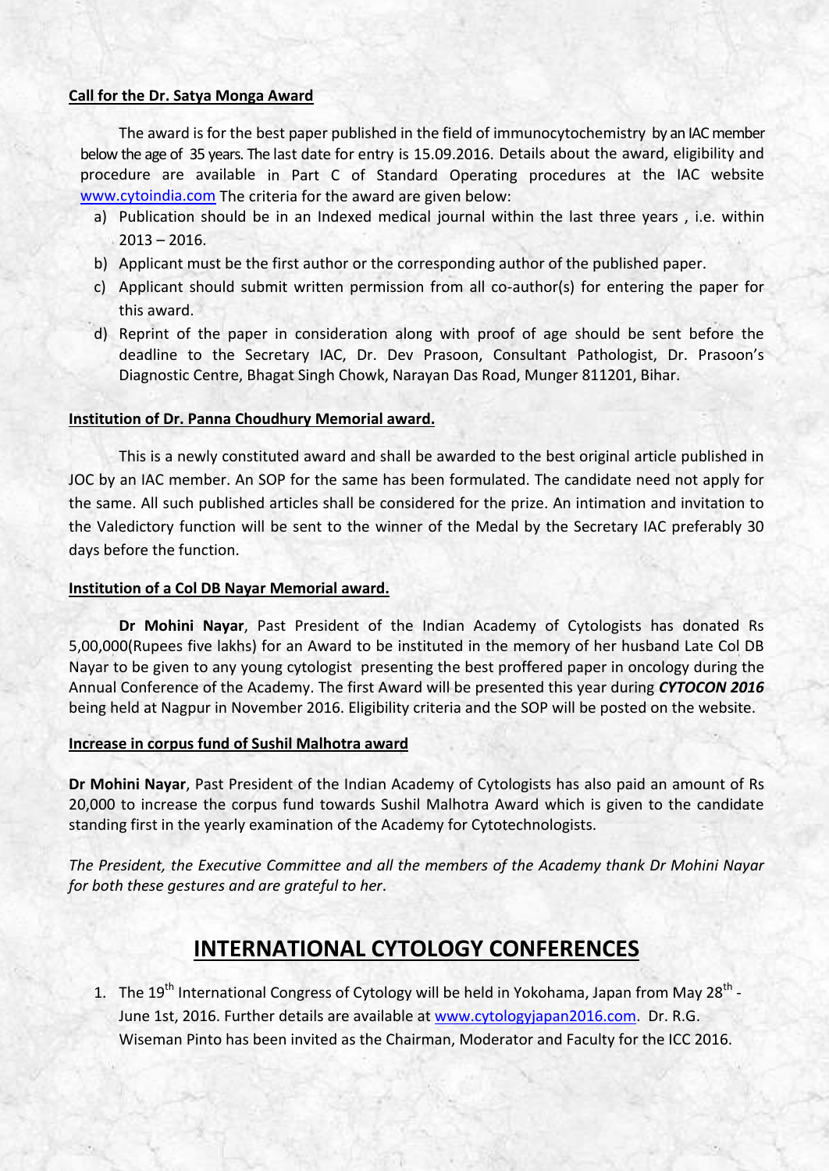### **Call for the Dr. Satya Monga Award**

The award is for the best paper published in the field of immunocytochemistry by an IAC member below the age of 35 years. The last date for entry is 15.09.2016. Details about the award, eligibility and procedure are available in Part C of Standard Operating procedures at the IAC website [www.cytoindia.com](http://www.cytoindia.com/) The criteria for the award are given below:

- a) Publication should be in an Indexed medical journal within the last three years , i.e. within  $2013 - 2016$ .
- b) Applicant must be the first author or the corresponding author of the published paper.
- c) Applicant should submit written permission from all co-author(s) for entering the paper for this award.
- d) Reprint of the paper in consideration along with proof of age should be sent before the deadline to the Secretary IAC, Dr. Dev Prasoon, Consultant Pathologist, Dr. Prasoon's Diagnostic Centre, Bhagat Singh Chowk, Narayan Das Road, Munger 811201, Bihar.

### **Institution of Dr. Panna Choudhury Memorial award.**

This is a newly constituted award and shall be awarded to the best original article published in JOC by an IAC member. An SOP for the same has been formulated. The candidate need not apply for the same. All such published articles shall be considered for the prize. An intimation and invitation to the Valedictory function will be sent to the winner of the Medal by the Secretary IAC preferably 30 days before the function.

### **Institution of a Col DB Nayar Memorial award.**

**Dr Mohini Nayar**, Past President of the Indian Academy of Cytologists has donated Rs 5,00,000(Rupees five lakhs) for an Award to be instituted in the memory of her husband Late Col DB Nayar to be given to any young cytologist presenting the best proffered paper in oncology during the Annual Conference of the Academy. The first Award will be presented this year during *CYTOCON 2016* being held at Nagpur in November 2016. Eligibility criteria and the SOP will be posted on the website.

### **Increase in corpus fund of Sushil Malhotra award**

**Dr Mohini Nayar**, Past President of the Indian Academy of Cytologists has also paid an amount of Rs 20,000 to increase the corpus fund towards Sushil Malhotra Award which is given to the candidate standing first in the yearly examination of the Academy for Cytotechnologists.

*The President, the Executive Committee and all the members of the Academy thank Dr Mohini Nayar for both these gestures and are grateful to her*.

### **INTERNATIONAL CYTOLOGY CONFERENCES**

1. The 19<sup>th</sup> International Congress of Cytology will be held in Yokohama, Japan from May 28<sup>th</sup> -June 1st, 2016. Further details are available at [www.cytologyjapan2016.com.](http://www.cytologyjapan2016.com/) Dr. R.G. Wiseman Pinto has been invited as the Chairman, Moderator and Faculty for the ICC 2016.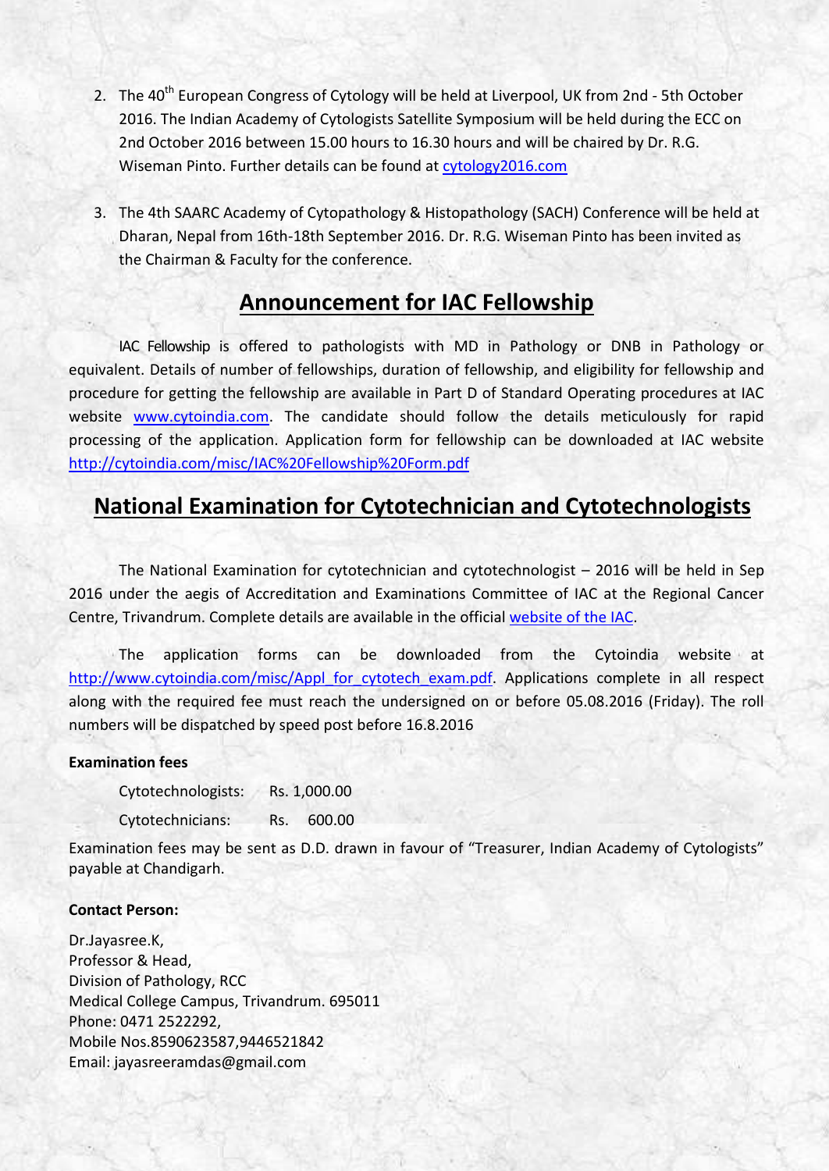- 2. The 40<sup>th</sup> European Congress of Cytology will be held at Liverpool, UK from 2nd 5th October 2016. The Indian Academy of Cytologists Satellite Symposium will be held during the ECC on 2nd October 2016 between 15.00 hours to 16.30 hours and will be chaired by Dr. R.G. Wiseman Pinto. Further details can be found at [cytology2016.com](http://cytology2016.com/)
- 3. The 4th SAARC Academy of Cytopathology & Histopathology (SACH) Conference will be held at Dharan, Nepal from 16th-18th September 2016. Dr. R.G. Wiseman Pinto has been invited as the Chairman & Faculty for the conference.

### **Announcement for IAC Fellowship**

IAC Fellowship is offered to pathologists with MD in Pathology or DNB in Pathology or equivalent. Details of number of fellowships, duration of fellowship, and eligibility for fellowship and procedure for getting the fellowship are available in Part D of Standard Operating procedures at IAC website [www.cytoindia.com.](http://cytoindia.com/misc/Agenda%20GBM2013/Final%20IAC%20SOP%20May%202015.pdf) The candidate should follow the details meticulously for rapid processing of the application. Application form for fellowship can be downloaded at IAC website <http://cytoindia.com/misc/IAC%20Fellowship%20Form.pdf>

## **National Examination for Cytotechnician and Cytotechnologists**

The National Examination for cytotechnician and cytotechnologist – 2016 will be held in Sep 2016 under the aegis of Accreditation and Examinations Committee of IAC at the Regional Cancer Centre, Trivandrum. Complete details are available in the official [website of the IAC.](http://cytoindia.com/Aboutcytoind/A&E%20Committee.htm)

The application forms can be downloaded from the Cytoindia website at [http://www.cytoindia.com/misc/Appl\\_for\\_cytotech\\_exam.pdf.](http://www.cytoindia.com/misc/Appl_for_cytotech_exam.pdf) Applications complete in all respect along with the required fee must reach the undersigned on or before 05.08.2016 (Friday). The roll numbers will be dispatched by speed post before 16.8.2016

### **Examination fees**

Cytotechnologists: Rs. 1,000.00 Cytotechnicians: Rs. 600.00

Examination fees may be sent as D.D. drawn in favour of "Treasurer, Indian Academy of Cytologists" payable at Chandigarh.

### **Contact Person:**

Dr.Jayasree.K, Professor & Head, Division of Pathology, RCC Medical College Campus, Trivandrum. 695011 Phone: 0471 2522292, Mobile Nos.8590623587,9446521842 Email: jayasreeramdas@gmail.com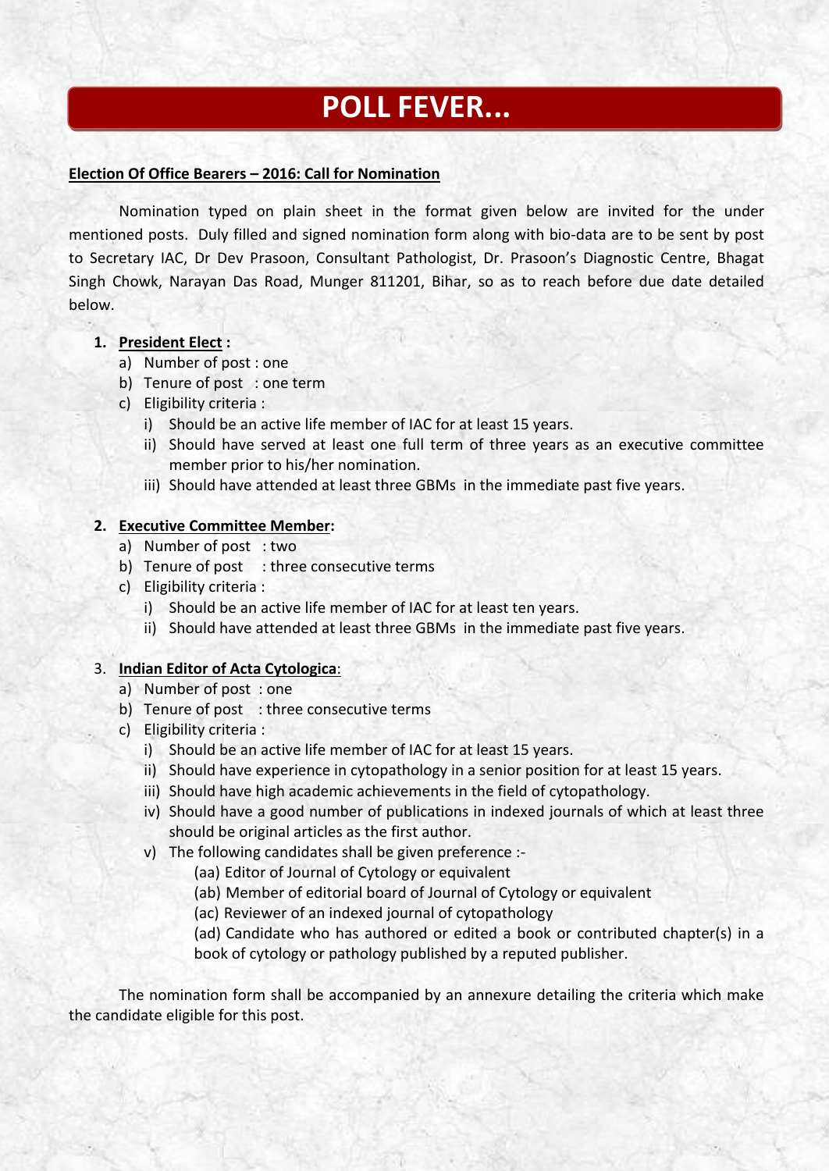## **POLL FEVER...**

### **Election Of Office Bearers – 2016: Call for Nomination**

Nomination typed on plain sheet in the format given below are invited for the under mentioned posts. Duly filled and signed nomination form along with bio-data are to be sent by post to Secretary IAC, Dr Dev Prasoon, Consultant Pathologist, Dr. Prasoon's Diagnostic Centre, Bhagat Singh Chowk, Narayan Das Road, Munger 811201, Bihar, so as to reach before due date detailed below.

### **1. President Elect :**

- a) Number of post : one
- b) Tenure of post : one term
- c) Eligibility criteria :
	- i) Should be an active life member of IAC for at least 15 years.
	- ii) Should have served at least one full term of three years as an executive committee member prior to his/her nomination.
	- iii) Should have attended at least three GBMs in the immediate past five years.

### **2. Executive Committee Member:**

- a) Number of post : two
- b) Tenure of post : three consecutive terms
- c) Eligibility criteria :
	- i) Should be an active life member of IAC for at least ten years.
	- ii) Should have attended at least three GBMs in the immediate past five years.

### 3. **Indian Editor of Acta Cytologica**:

- a) Number of post : one
- b) Tenure of post : three consecutive terms
- c) Eligibility criteria :
	- i) Should be an active life member of IAC for at least 15 years.
	- ii) Should have experience in cytopathology in a senior position for at least 15 years.
	- iii) Should have high academic achievements in the field of cytopathology.
	- iv) Should have a good number of publications in indexed journals of which at least three should be original articles as the first author.
	- v) The following candidates shall be given preference :-
		- (aa) Editor of Journal of Cytology or equivalent
		- (ab) Member of editorial board of Journal of Cytology or equivalent
		- (ac) Reviewer of an indexed journal of cytopathology

(ad) Candidate who has authored or edited a book or contributed chapter(s) in a book of cytology or pathology published by a reputed publisher.

 The nomination form shall be accompanied by an annexure detailing the criteria which make the candidate eligible for this post.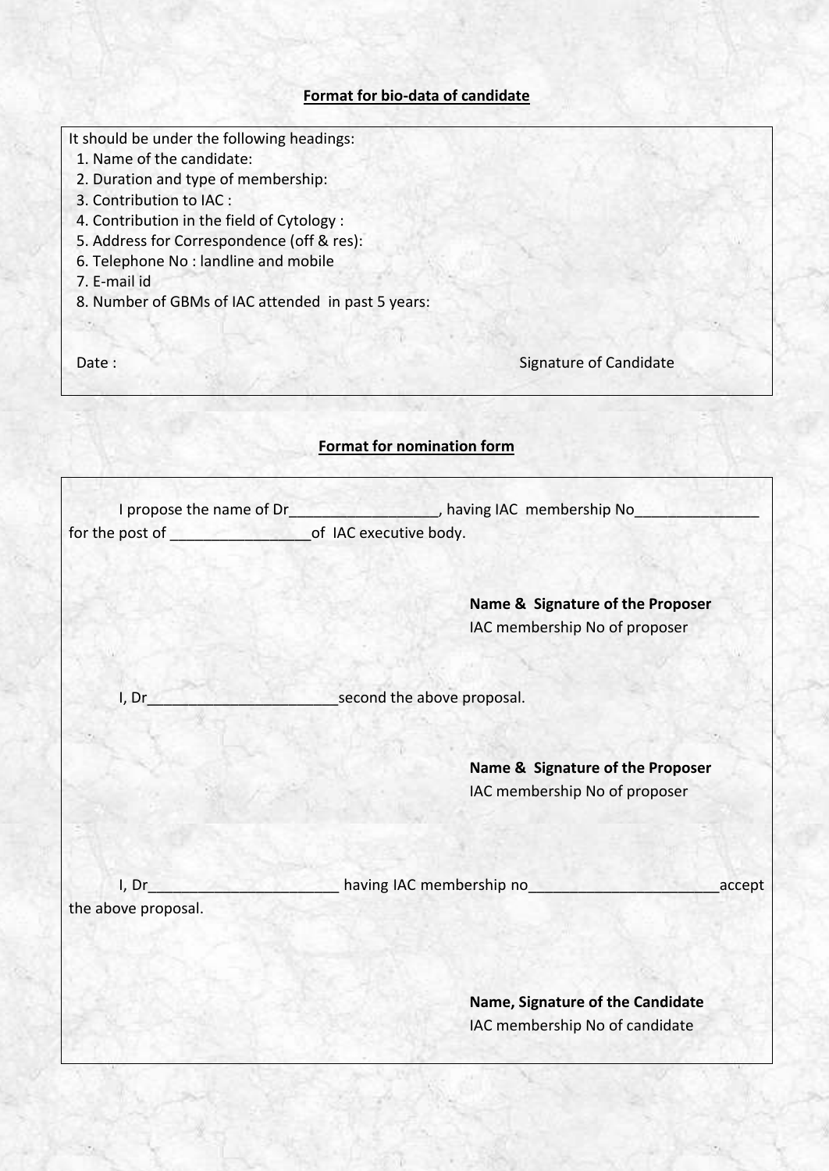### **Format for bio-data of candidate**

It should be under the following headings:

- 1. Name of the candidate:
- 2. Duration and type of membership:
- 3. Contribution to IAC :
- 4. Contribution in the field of Cytology :
- 5. Address for Correspondence (off & res):
- 6. Telephone No : landline and mobile
- 7. E-mail id
- 8. Number of GBMs of IAC attended in past 5 years:

Date : Signature of Candidate

### **Format for nomination form**

|                     | I propose the name of Dr_______________________, having IAC membership No_ |
|---------------------|----------------------------------------------------------------------------|
|                     |                                                                            |
|                     |                                                                            |
|                     | Name & Signature of the Proposer                                           |
|                     | IAC membership No of proposer                                              |
|                     |                                                                            |
| I, Dr               | second the above proposal.                                                 |
|                     |                                                                            |
|                     | Name & Signature of the Proposer                                           |
|                     | IAC membership No of proposer                                              |
|                     |                                                                            |
| I, Dr               | <b>Example 2018</b> having IAC membership no<br>accept                     |
| the above proposal. |                                                                            |
|                     |                                                                            |
|                     | Name, Signature of the Candidate                                           |
|                     | IAC membership No of candidate                                             |
|                     |                                                                            |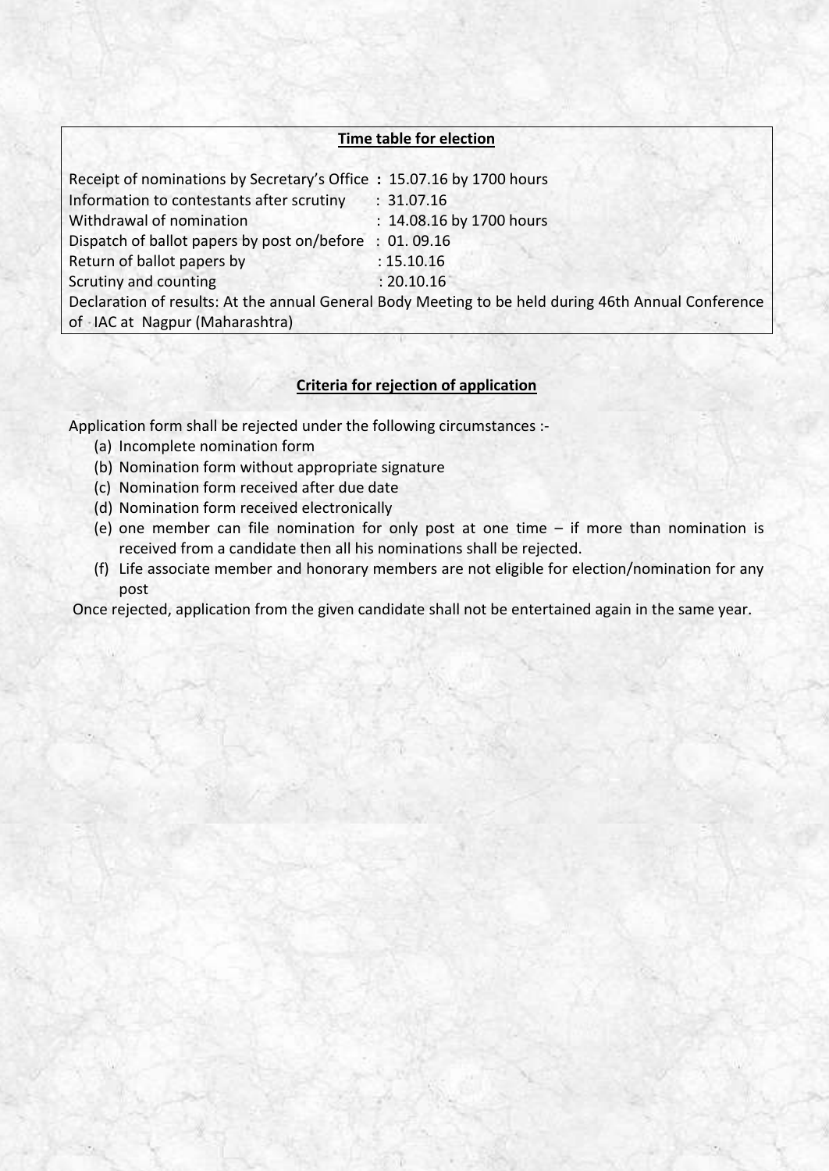### **Time table for election**

| Receipt of nominations by Secretary's Office: 15.07.16 by 1700 hours                                |                          |  |  |  |
|-----------------------------------------------------------------------------------------------------|--------------------------|--|--|--|
| Information to contestants after scrutiny                                                           | : 31.07.16               |  |  |  |
| Withdrawal of nomination                                                                            | : 14.08.16 by 1700 hours |  |  |  |
| Dispatch of ballot papers by post on/before                                                         | : 01.09.16               |  |  |  |
| Return of ballot papers by                                                                          | : 15.10.16               |  |  |  |
| Scrutiny and counting                                                                               | : 20.10.16               |  |  |  |
| Declaration of results: At the annual General Body Meeting to be held during 46th Annual Conference |                          |  |  |  |
| of -IAC at Nagpur (Maharashtra)                                                                     |                          |  |  |  |

### **Criteria for rejection of application**

Application form shall be rejected under the following circumstances :-

- (a) Incomplete nomination form
- (b) Nomination form without appropriate signature
- (c) Nomination form received after due date
- (d) Nomination form received electronically
- (e) one member can file nomination for only post at one time if more than nomination is received from a candidate then all his nominations shall be rejected.
- (f) Life associate member and honorary members are not eligible for election/nomination for any post

Once rejected, application from the given candidate shall not be entertained again in the same year.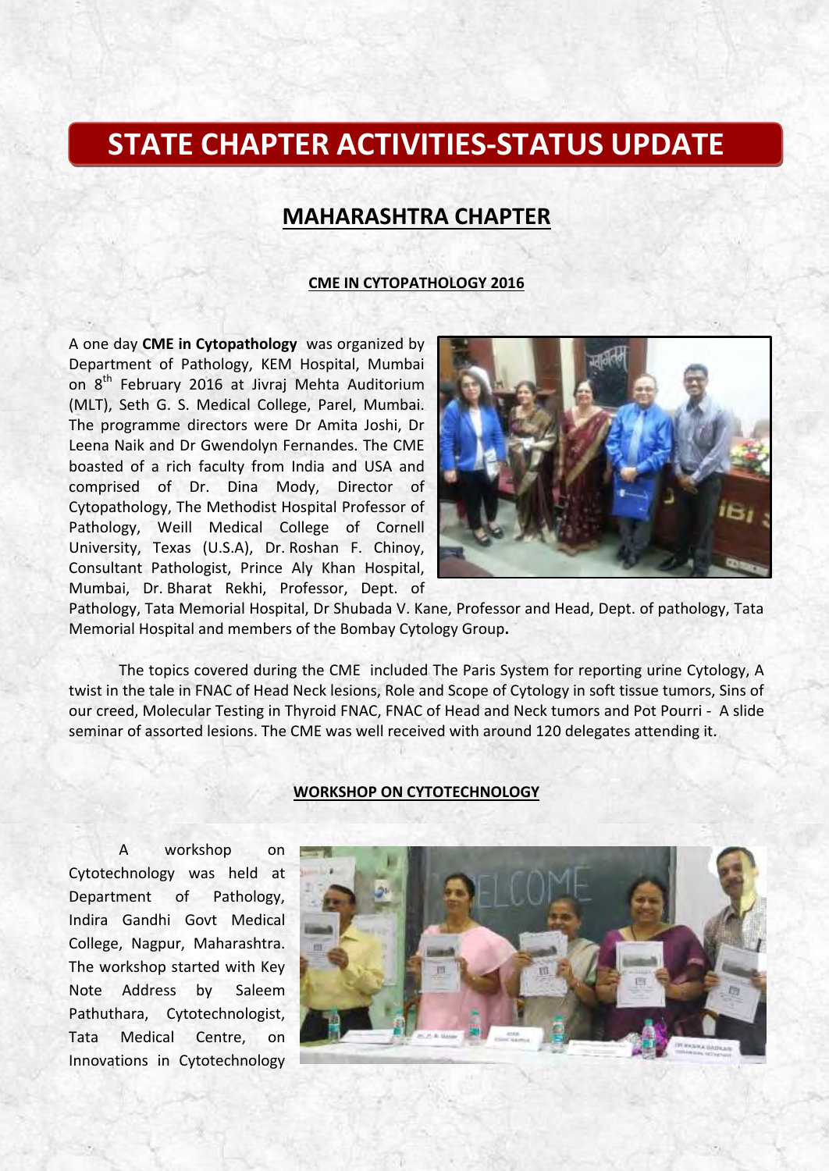## **STATE CHAPTER ACTIVITIES-STATUS UPDATE**

### **MAHARASHTRA CHAPTER**

### **CME IN CYTOPATHOLOGY 2016**

A one day **CME in Cytopathology** was organized by Department of Pathology, KEM Hospital, Mumbai on 8<sup>th</sup> February 2016 at Jivraj Mehta Auditorium (MLT), Seth G. S. Medical College, Parel, Mumbai. The programme directors were Dr Amita Joshi, Dr Leena Naik and Dr Gwendolyn Fernandes. The CME boasted of a rich faculty from India and USA and comprised of Dr. Dina Mody, Director of Cytopathology, The Methodist Hospital Professor of Pathology, Weill Medical College of Cornell University, Texas (U.S.A), Dr. Roshan F. Chinoy, Consultant Pathologist, Prince Aly Khan Hospital, Mumbai, Dr. Bharat Rekhi, Professor, Dept. of



Pathology, Tata Memorial Hospital, Dr Shubada V. Kane, Professor and Head, Dept. of pathology, Tata Memorial Hospital and members of the Bombay Cytology Group**.** 

The topics covered during the CME included The Paris System for reporting urine Cytology, A twist in the tale in FNAC of Head Neck lesions, Role and Scope of Cytology in soft tissue tumors, Sins of our creed, Molecular Testing in Thyroid FNAC, FNAC of Head and Neck tumors and Pot Pourri - A slide seminar of assorted lesions. The CME was well received with around 120 delegates attending it.

#### **WORKSHOP ON CYTOTECHNOLOGY**

A workshop on Cytotechnology was held at Department of Pathology, Indira Gandhi Govt Medical College, Nagpur, Maharashtra. The workshop started with Key Note Address by Saleem Pathuthara, Cytotechnologist, Tata Medical Centre, on Innovations in Cytotechnology

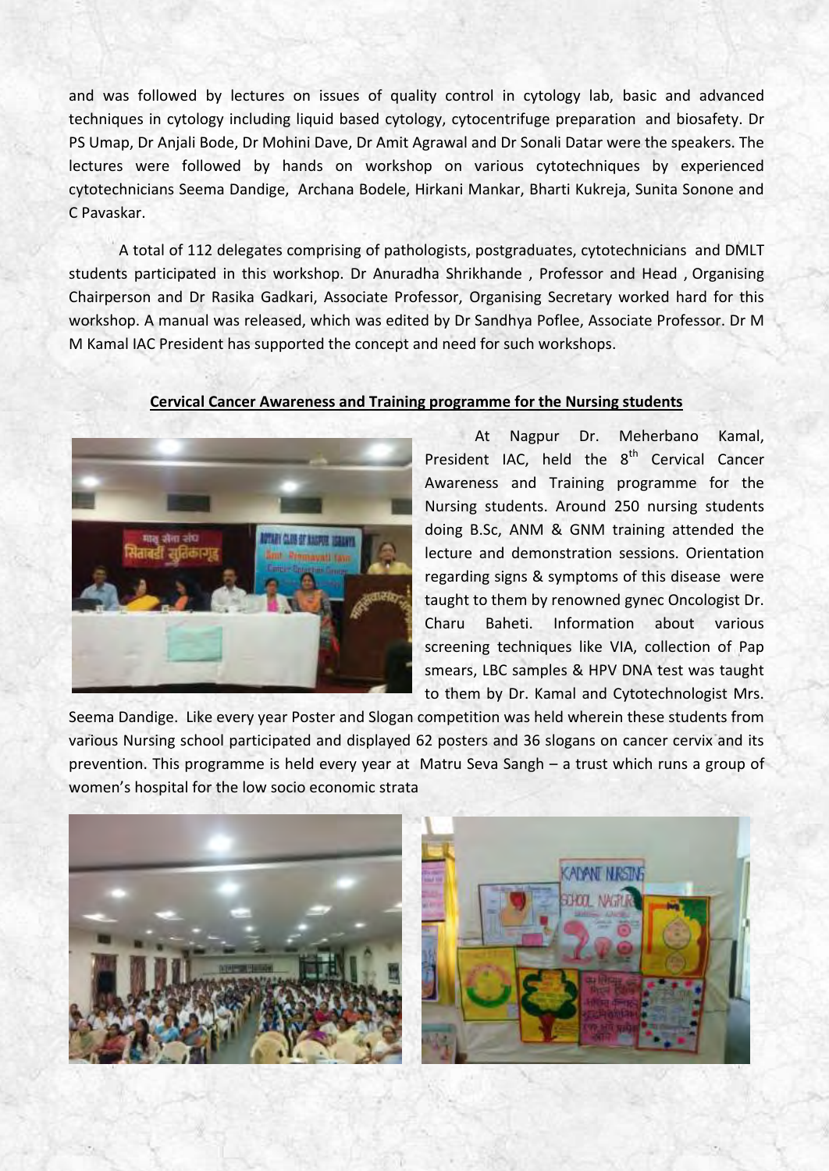and was followed by lectures on issues of quality control in cytology lab, basic and advanced techniques in cytology including liquid based cytology, cytocentrifuge preparation and biosafety. Dr PS Umap, Dr Anjali Bode, Dr Mohini Dave, Dr Amit Agrawal and Dr Sonali Datar were the speakers. The lectures were followed by hands on workshop on various cytotechniques by experienced cytotechnicians Seema Dandige, Archana Bodele, Hirkani Mankar, Bharti Kukreja, Sunita Sonone and C Pavaskar.

 A total of 112 delegates comprising of pathologists, postgraduates, cytotechnicians and DMLT students participated in this workshop. Dr Anuradha Shrikhande , Professor and Head , Organising Chairperson and Dr Rasika Gadkari, Associate Professor, Organising Secretary worked hard for this workshop. A manual was released, which was edited by Dr Sandhya Poflee, Associate Professor. Dr M M Kamal IAC President has supported the concept and need for such workshops.



### **Cervical Cancer Awareness and Training programme for the Nursing students**

At Nagpur Dr. Meherbano Kamal, President IAC, held the  $8<sup>th</sup>$  Cervical Cancer Awareness and Training programme for the Nursing students. Around 250 nursing students doing B.Sc, ANM & GNM training attended the lecture and demonstration sessions. Orientation regarding signs & symptoms of this disease were taught to them by renowned gynec Oncologist Dr. Charu Baheti. Information about various screening techniques like VIA, collection of Pap smears, LBC samples & HPV DNA test was taught to them by Dr. Kamal and Cytotechnologist Mrs.

Seema Dandige. Like every year Poster and Slogan competition was held wherein these students from various Nursing school participated and displayed 62 posters and 36 slogans on cancer cervix and its prevention. This programme is held every year at Matru Seva Sangh – a trust which runs a group of women's hospital for the low socio economic strata

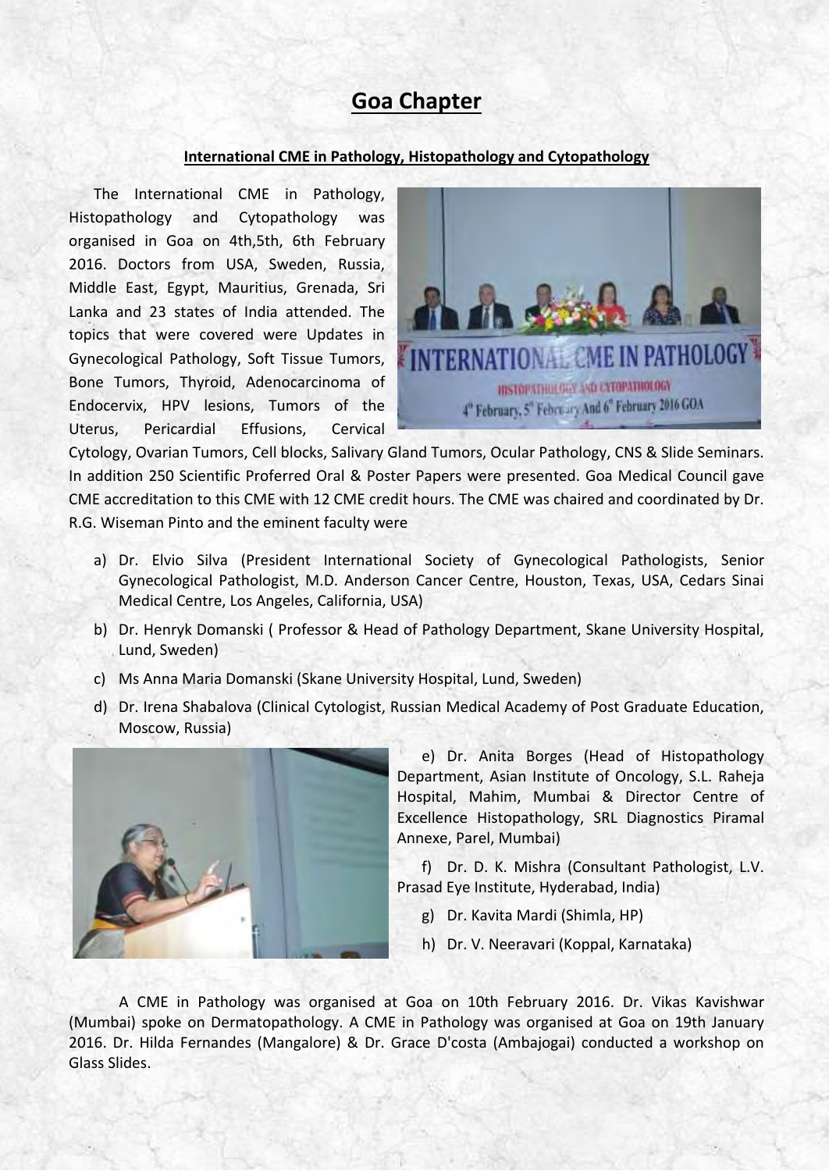### **Goa Chapter**

#### **International CME in Pathology, Histopathology and Cytopathology**

The International CME in Pathology, Histopathology and Cytopathology was organised in Goa on 4th,5th, 6th February 2016. Doctors from USA, Sweden, Russia, Middle East, Egypt, Mauritius, Grenada, Sri Lanka and 23 states of India attended. The topics that were covered were Updates in Gynecological Pathology, Soft Tissue Tumors, Bone Tumors, Thyroid, Adenocarcinoma of Endocervix, HPV lesions, Tumors of the Uterus, Pericardial Effusions, Cervical



Cytology, Ovarian Tumors, Cell blocks, Salivary Gland Tumors, Ocular Pathology, CNS & Slide Seminars. In addition 250 Scientific Proferred Oral & Poster Papers were presented. Goa Medical Council gave CME accreditation to this CME with 12 CME credit hours. The CME was chaired and coordinated by Dr. R.G. Wiseman Pinto and the eminent faculty were

- a) Dr. Elvio Silva (President International Society of Gynecological Pathologists, Senior Gynecological Pathologist, M.D. Anderson Cancer Centre, Houston, Texas, USA, Cedars Sinai Medical Centre, Los Angeles, California, USA)
- b) Dr. Henryk Domanski ( Professor & Head of Pathology Department, Skane University Hospital, Lund, Sweden)
- c) Ms Anna Maria Domanski (Skane University Hospital, Lund, Sweden)
- d) Dr. Irena Shabalova (Clinical Cytologist, Russian Medical Academy of Post Graduate Education, Moscow, Russia)



e) Dr. Anita Borges (Head of Histopathology Department, Asian Institute of Oncology, S.L. Raheja Hospital, Mahim, Mumbai & Director Centre of Excellence Histopathology, SRL Diagnostics Piramal Annexe, Parel, Mumbai)

f) Dr. D. K. Mishra (Consultant Pathologist, L.V. Prasad Eye Institute, Hyderabad, India)

- g) Dr. Kavita Mardi (Shimla, HP)
- h) Dr. V. Neeravari (Koppal, Karnataka)

 A CME in Pathology was organised at Goa on 10th February 2016. Dr. Vikas Kavishwar (Mumbai) spoke on Dermatopathology. A CME in Pathology was organised at Goa on 19th January 2016. Dr. Hilda Fernandes (Mangalore) & Dr. Grace D'costa (Ambajogai) conducted a workshop on Glass Slides.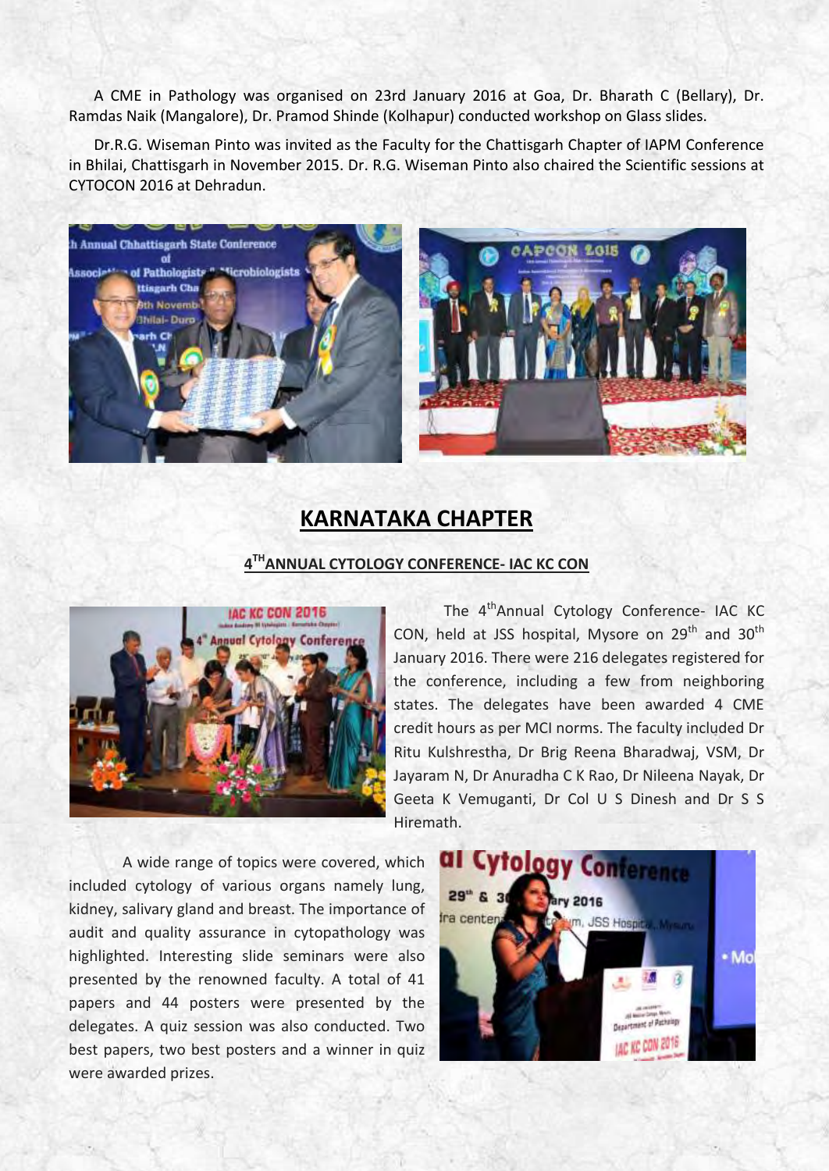A CME in Pathology was organised on 23rd January 2016 at Goa, Dr. Bharath C (Bellary), Dr. Ramdas Naik (Mangalore), Dr. Pramod Shinde (Kolhapur) conducted workshop on Glass slides.

Dr.R.G. Wiseman Pinto was invited as the Faculty for the Chattisgarh Chapter of IAPM Conference in Bhilai, Chattisgarh in November 2015. Dr. R.G. Wiseman Pinto also chaired the Scientific sessions at CYTOCON 2016 at Dehradun.



### **KARNATAKA CHAPTER**

### **4 THANNUAL CYTOLOGY CONFERENCE- IAC KC CON**



The 4<sup>th</sup>Annual Cytology Conference- IAC KC CON, held at JSS hospital, Mysore on  $29<sup>th</sup>$  and  $30<sup>th</sup>$ January 2016. There were 216 delegates registered for the conference, including a few from neighboring states. The delegates have been awarded 4 CME credit hours as per MCI norms. The faculty included Dr Ritu Kulshrestha, Dr Brig Reena Bharadwaj, VSM, Dr Jayaram N, Dr Anuradha C K Rao, Dr Nileena Nayak, Dr Geeta K Vemuganti, Dr Col U S Dinesh and Dr S S Hiremath.

 A wide range of topics were covered, which included cytology of various organs namely lung, kidney, salivary gland and breast. The importance of audit and quality assurance in cytopathology was highlighted. Interesting slide seminars were also presented by the renowned faculty. A total of 41 papers and 44 posters were presented by the delegates. A quiz session was also conducted. Two best papers, two best posters and a winner in quiz were awarded prizes.